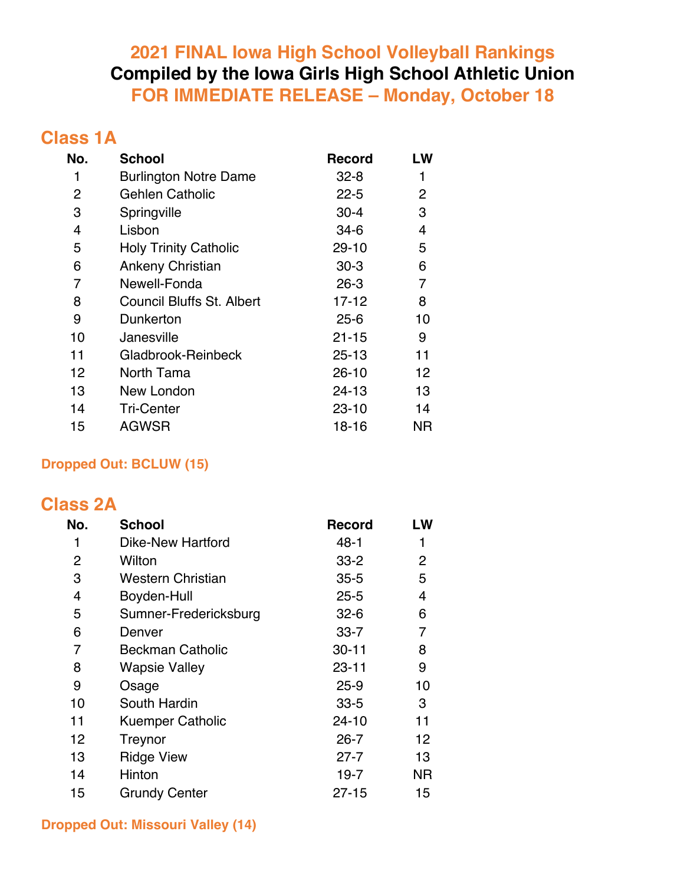### **2021 FINAL Iowa High School Volleyball Rankings Compiled by the Iowa Girls High School Athletic Union FOR IMMEDIATE RELEASE – Monday, October 18**

### **Class 1A**

| No. | <b>School</b>                    | <b>Record</b> | LW |
|-----|----------------------------------|---------------|----|
| 1   | <b>Burlington Notre Dame</b>     | $32 - 8$      | 1  |
| 2   | <b>Gehlen Catholic</b>           | $22 - 5$      | 2  |
| 3   | Springville                      | $30 - 4$      | 3  |
| 4   | Lisbon                           | $34-6$        | 4  |
| 5   | <b>Holy Trinity Catholic</b>     | $29 - 10$     | 5  |
| 6   | Ankeny Christian                 | $30-3$        | 6  |
| 7   | Newell-Fonda                     | $26 - 3$      | 7  |
| 8   | <b>Council Bluffs St. Albert</b> | $17 - 12$     | 8  |
| 9   | Dunkerton                        | $25 - 6$      | 10 |
| 10  | Janesville                       | $21 - 15$     | 9  |
| 11  | Gladbrook-Reinbeck               | 25-13         | 11 |
| 12  | North Tama                       | $26 - 10$     | 12 |
| 13  | New London                       | 24-13         | 13 |
| 14  | <b>Tri-Center</b>                | $23 - 10$     | 14 |
| 15  | <b>AGWSR</b>                     | 18-16         | ΝR |

#### **Dropped Out: BCLUW (15)**

### **Class 2A**

| No. | <b>School</b>            | <b>Record</b> | LW        |
|-----|--------------------------|---------------|-----------|
| 1   | <b>Dike-New Hartford</b> | $48 - 1$      | 1         |
| 2   | Wilton                   | $33 - 2$      | 2         |
| 3   | <b>Western Christian</b> | $35 - 5$      | 5         |
| 4   | Boyden-Hull              | $25 - 5$      | 4         |
| 5   | Sumner-Fredericksburg    | $32 - 6$      | 6         |
| 6   | Denver                   | $33 - 7$      | 7         |
| 7   | <b>Beckman Catholic</b>  | $30 - 11$     | 8         |
| 8   | <b>Wapsie Valley</b>     | $23 - 11$     | 9         |
| 9   | Osage                    | $25 - 9$      | 10        |
| 10  | South Hardin             | $33 - 5$      | 3         |
| 11  | <b>Kuemper Catholic</b>  | 24-10         | 11        |
| 12  | Treynor                  | $26 - 7$      | 12        |
| 13  | <b>Ridge View</b>        | $27 - 7$      | 13        |
| 14  | Hinton                   | $19 - 7$      | <b>NR</b> |
| 15  | <b>Grundy Center</b>     | $27 - 15$     | 15        |

**Dropped Out: Missouri Valley (14)**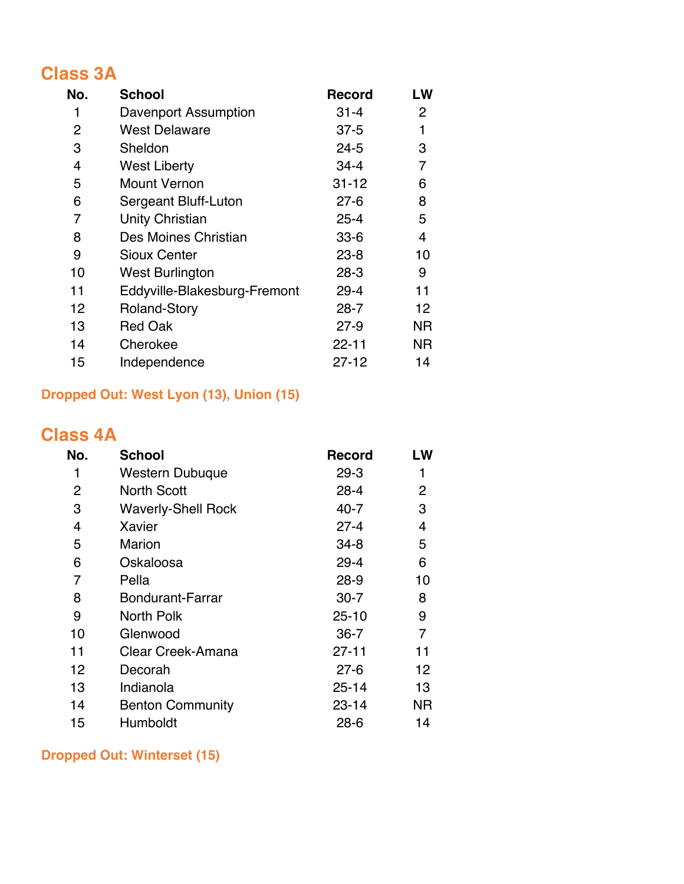## **Class 3A**

| No. | <b>School</b>                | <b>Record</b> | LW           |
|-----|------------------------------|---------------|--------------|
| 1   | Davenport Assumption         | $31 - 4$      | $\mathbf{2}$ |
| 2   | <b>West Delaware</b>         | $37 - 5$      | 1            |
| 3   | Sheldon                      | $24 - 5$      | 3            |
| 4   | <b>West Liberty</b>          | $34 - 4$      | 7            |
| 5   | <b>Mount Vernon</b>          | $31 - 12$     | 6            |
| 6   | Sergeant Bluff-Luton         | $27 - 6$      | 8            |
| 7   | Unity Christian              | $25 - 4$      | 5            |
| 8   | Des Moines Christian         | $33 - 6$      | 4            |
| 9   | <b>Sioux Center</b>          | $23 - 8$      | 10           |
| 10  | <b>West Burlington</b>       | $28-3$        | 9            |
| 11  | Eddyville-Blakesburg-Fremont | $29 - 4$      | 11           |
| 12  | <b>Roland-Story</b>          | $28 - 7$      | 12           |
| 13  | <b>Red Oak</b>               | $27-9$        | ΝR           |
| 14  | Cherokee                     | $22 - 11$     | ΝR           |
| 15  | Independence                 | $27 - 12$     | 14           |

### **Dropped Out: West Lyon (13), Union (15)**

## **Class 4A**

| No. | <b>School</b>             | <b>Record</b> | LW |
|-----|---------------------------|---------------|----|
| 1   | Western Dubuque           | $29 - 3$      |    |
| 2   | <b>North Scott</b>        | $28 - 4$      | 2  |
| 3   | <b>Waverly-Shell Rock</b> | $40 - 7$      | 3  |
| 4   | Xavier                    | $27 - 4$      | 4  |
| 5   | <b>Marion</b>             | $34 - 8$      | 5  |
| 6   | Oskaloosa                 | $29 - 4$      | 6  |
| 7   | Pella                     | $28-9$        | 10 |
| 8   | <b>Bondurant-Farrar</b>   | $30 - 7$      | 8  |
| 9   | North Polk                | $25 - 10$     | 9  |
| 10  | Glenwood                  | $36 - 7$      | 7  |
| 11  | Clear Creek-Amana         | $27 - 11$     | 11 |
| 12  | Decorah                   | $27 - 6$      | 12 |
| 13  | Indianola                 | $25 - 14$     | 13 |
| 14  | <b>Benton Community</b>   | $23 - 14$     | ΝR |
| 15  | Humboldt                  | $28 - 6$      | 14 |

#### **Dropped Out: Winterset (15)**